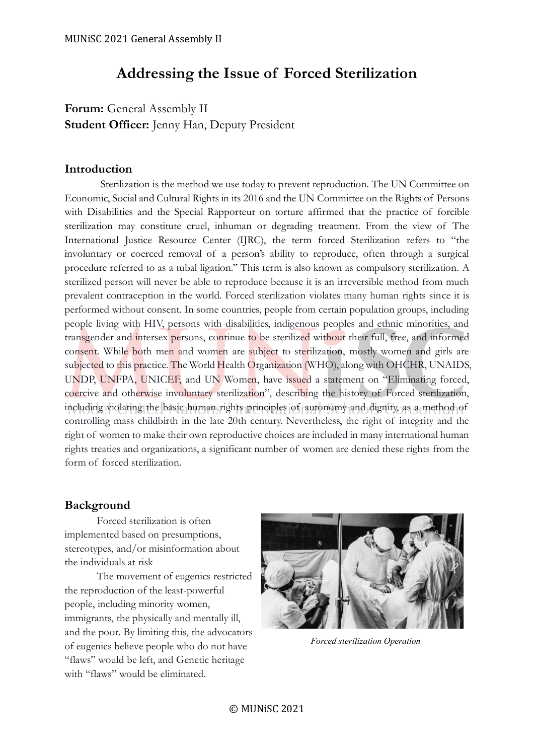# **Addressing the Issue of Forced Sterilization**

Forum: General Assembly II **Student Officer:** Jenny Han, Deputy President

### **Introduction**

Sterilization is the method we use today to prevent reproduction. The UN Committee on Economic, Social and Cultural Rights in its 2016 and the UN Committee on the Rights of Persons with Disabilities and the Special Rapporteur on torture affirmed that the practice of forcible sterilization may constitute cruel, inhuman or degrading treatment. From the view of The International Justice Resource Center (IJRC), the term forced Sterilization refers to "the involuntary or coerced removal of a person's ability to reproduce, often through a surgical procedure referred to as a tubal ligation." This term is also known as compulsory sterilization. A sterilized person will never be able to reproduce because it is an irreversible method from much prevalent contraception in the world. Forced sterilization violates many human rights since it is performed without consent. In some countries, people from certain population groups, including people living with HIV, persons with disabilities, indigenous peoples and ethnic minorities, and transgender and intersex persons, continue to be sterilized without their full, free, and informed consent. While both men and women are subject to sterilization, mostly women and girls are subjected to this practice. The World Health Organization (WHO), along with OHCHR, UNAIDS, UNDP, UNFPA, UNICEF, and UN Women, have issued a statement on "Eliminating forced, coercive and otherwise involuntary sterilization", describing the history of Forced sterilization, including violating the basic human rights principles of autonomy and dignity, as a method of controlling mass childbirth in the late 20th century. Nevertheless, the right of integrity and the right of women to make their own reproductive choices are included in many international human rights treaties and organizations, a significant number of women are denied these rights from the form of forced sterilization.

## **Background**

Forced sterilization is often implemented based on presumptions, stereotypes, and/or misinformation about the individuals at risk

The movement of eugenics restricted the reproduction of the least-powerful people, including minority women, immigrants, the physically and mentally ill, and the poor. By limiting this, the advocators of eugenics believe people who do not have "flaws" would be left, and Genetic heritage with "flaws" would be eliminated.



*Forced sterilization Operation*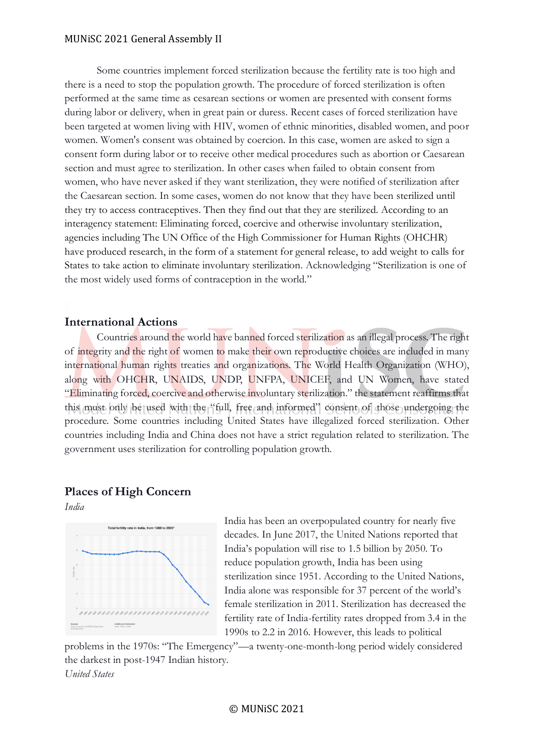#### MUNiSC 2021 General Assembly II

Some countries implement forced sterilization because the fertility rate is too high and there is a need to stop the population growth. The procedure of forced sterilization is often performed at the same time as cesarean sections or women are presented with consent forms during labor or delivery, when in great pain or duress. Recent cases of forced sterilization have been targeted at women living with HIV, women of ethnic minorities, disabled women, and poor women. Women's consent was obtained by coercion. In this case, women are asked to sign a consent form during labor or to receive other medical procedures such as abortion or Caesarean section and must agree to sterilization. In other cases when failed to obtain consent from women, who have never asked if they want sterilization, they were notified of sterilization after the Caesarean section. In some cases, women do not know that they have been sterilized until they try to access contraceptives. Then they find out that they are sterilized. According to an interagency statement: Eliminating forced, coercive and otherwise involuntary sterilization, agencies including The UN Office of the High Commissioner for Human Rights (OHCHR) have produced research, in the form of a statement for general release, to add weight to calls for States to take action to eliminate involuntary sterilization. Acknowledging "Sterilization is one of the most widely used forms of contraception in the world."

#### **International Actions**

Countries around the world have banned forced sterilization as an illegal process. The right of integrity and the right of women to make their own reproductive choices are included in many international human rights treaties and organizations. The World Health Organization (WHO), along with OHCHR, UNAIDS, UNDP, UNFPA, UNICEF, and UN Women, have stated "Eliminating forced, coercive and otherwise involuntary sterilization." the statement reaffirms that this must only be used with the "full, free and informed" consent of those undergoing the procedure. Some countries including United States have illegalized forced sterilization. Other countries including India and China does not have a strict regulation related to sterilization. The government uses sterilization for controlling population growth.

## **Places of High Concern**

*India* 



India has been an overpopulated country for nearly five decades. In June 2017, the United Nations reported that India's population will rise to 1.5 billion by 2050. To reduce population growth, India has been using sterilization since 1951. According to the United Nations, India alone was responsible for 37 percent of the world's female sterilization in 2011. Sterilization has decreased the fertility rate of India-fertility rates dropped from 3.4 in the 1990s to 2.2 in 2016. However, this leads to political

problems in the 1970s: "The Emergency"—a twenty-one-month-long period widely considered the darkest in post-1947 Indian history. *United States*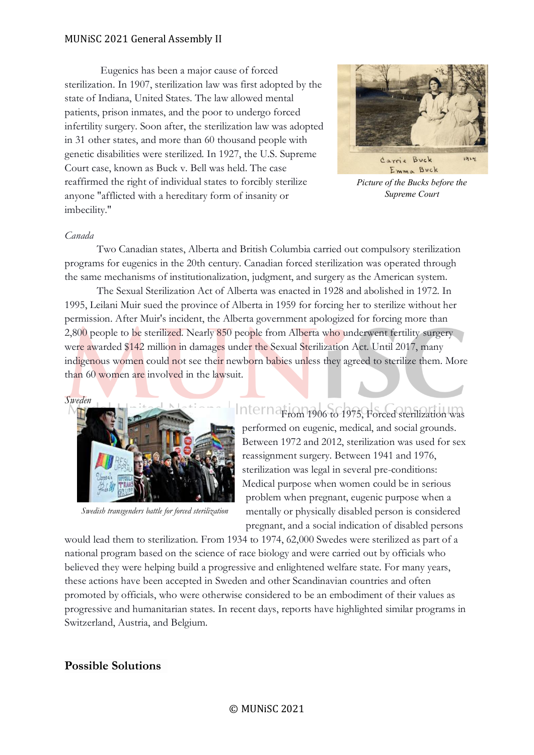#### MUNiSC 2021 General Assembly II

Eugenics has been a major cause of forced sterilization. In 1907, sterilization law was first adopted by the state of Indiana, United States. The law allowed mental patients, prison inmates, and the poor to undergo forced infertility surgery. Soon after, the sterilization law was adopted in 31 other states, and more than 60 thousand people with genetic disabilities were sterilized. In 1927, the U.S. Supreme Court case, known as Buck v. Bell was held. The case reaffirmed the right of individual states to forcibly sterilize anyone "afflicted with a hereditary form of insanity or imbecility."



*Picture of the Bucks before the Supreme Court*

#### *Canada*

Two Canadian states, Alberta and British Columbia carried out compulsory sterilization programs for eugenics in the 20th century. Canadian forced sterilization was operated through the same mechanisms of institutionalization, judgment, and surgery as the American system.

The Sexual Sterilization Act of Alberta was enacted in 1928 and abolished in 1972. In 1995, Leilani Muir sued the province of Alberta in 1959 for forcing her to sterilize without her permission. After Muir's incident, the Alberta government apologized for forcing more than 2,800 people to be sterilized. Nearly 850 people from Alberta who underwent fertility surgery were awarded \$142 million in damages under the Sexual Sterilization Act. Until 2017, many indigenous women could not see their newborn babies unless they agreed to sterilize them. More than 60 women are involved in the lawsuit.



*Swedish transgenders battle for forced sterilization*

Interna<sub>From</sub> 1906 to 1975, Forced sterilization was performed on eugenic, medical, and social grounds. Between 1972 and 2012, sterilization was used for sex reassignment surgery. Between 1941 and 1976, sterilization was legal in several pre-conditions: Medical purpose when women could be in serious problem when pregnant, eugenic purpose when a mentally or physically disabled person is considered pregnant, and a social indication of disabled persons

would lead them to sterilization. From 1934 to 1974, 62,000 Swedes were sterilized as part of a national program based on the science of race biology and were carried out by officials who believed they were helping build a progressive and enlightened welfare state. For many years, these actions have been accepted in Sweden and other Scandinavian countries and often promoted by officials, who were otherwise considered to be an embodiment of their values as progressive and humanitarian states. In recent days, reports have highlighted similar programs in Switzerland, Austria, and Belgium.

#### **Possible Solutions**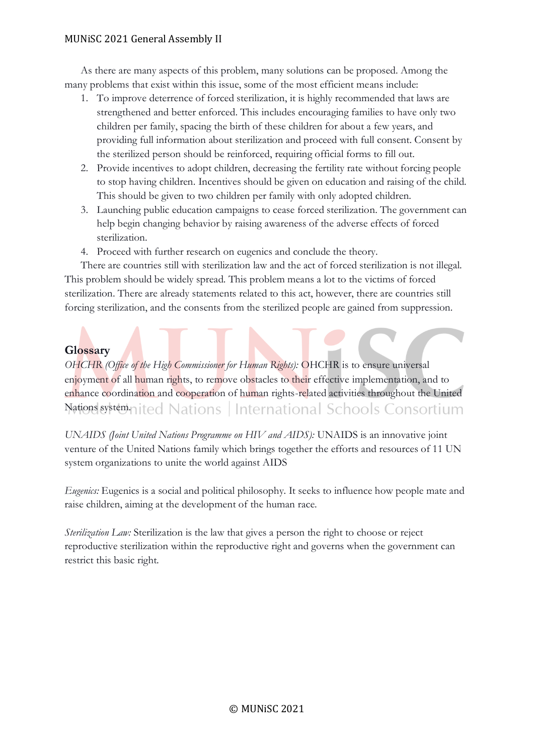#### MUNiSC 2021 General Assembly II

As there are many aspects of this problem, many solutions can be proposed. Among the many problems that exist within this issue, some of the most efficient means include:

- 1. To improve deterrence of forced sterilization, it is highly recommended that laws are strengthened and better enforced. This includes encouraging families to have only two children per family, spacing the birth of these children for about a few years, and providing full information about sterilization and proceed with full consent. Consent by the sterilized person should be reinforced, requiring official forms to fill out.
- 2. Provide incentives to adopt children, decreasing the fertility rate without forcing people to stop having children. Incentives should be given on education and raising of the child. This should be given to two children per family with only adopted children.
- 3. Launching public education campaigns to cease forced sterilization. The government can help begin changing behavior by raising awareness of the adverse effects of forced sterilization.
- 4. Proceed with further research on eugenics and conclude the theory.

There are countries still with sterilization law and the act of forced sterilization is not illegal. This problem should be widely spread. This problem means a lot to the victims of forced sterilization. There are already statements related to this act, however, there are countries still forcing sterilization, and the consents from the sterilized people are gained from suppression.

## **Glossary**

*OHCHR (Office of the High Commissioner for Human Rights):* OHCHR is to ensure universal enjoyment of all human rights, to remove obstacles to their effective implementation, and to enhance coordination and cooperation of human rights-related activities throughout the United Nations system. ited Nations | International Schools Consortium

*UNAIDS (Joint United Nations Programme on HIV and AIDS):* UNAIDS is an innovative joint venture of the United Nations family which brings together the efforts and resources of 11 UN system organizations to unite the world against AIDS

*Eugenics:* Eugenics is a social and political philosophy. It seeks to influence how people mate and raise children, aiming at the development of the human race.

*Sterilization Law:* Sterilization is the law that gives a person the right to choose or reject reproductive sterilization within the reproductive right and governs when the government can restrict this basic right.